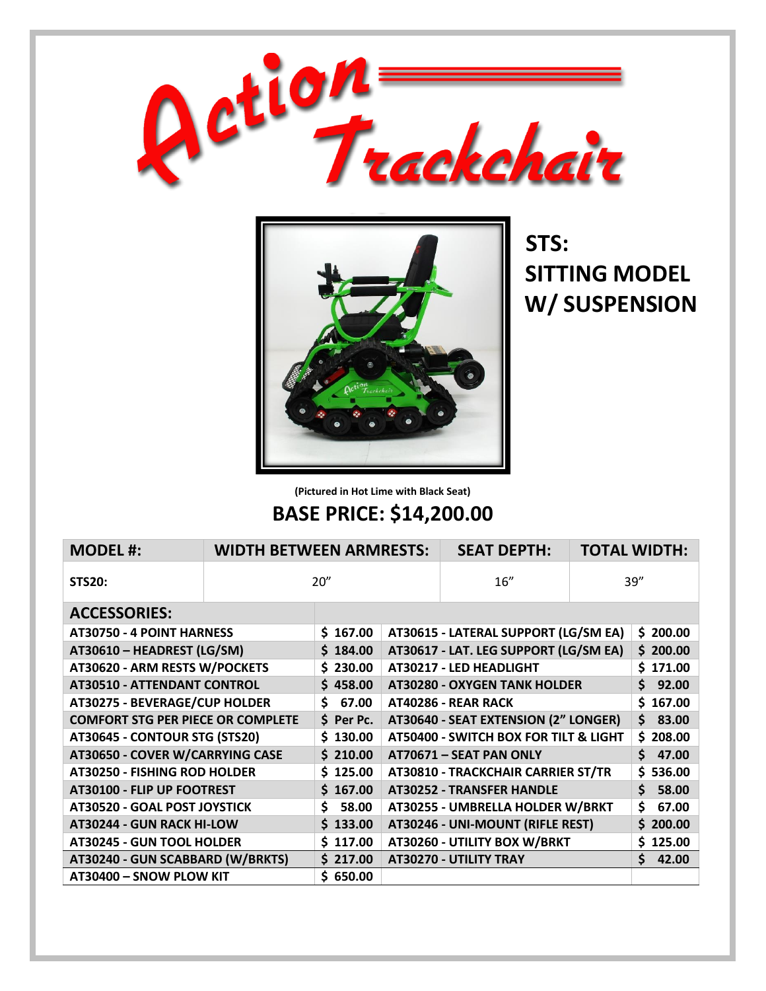



 **STS: SITTING MODEL W/ SUSPENSION**

**(Pictured in Hot Lime with Black Seat)**

## **BASE PRICE: \$14,200.00**

| <b>MODEL#:</b>                           | <b>WIDTH BETWEEN ARMRESTS:</b> |             | <b>SEAT DEPTH:</b>                    |                                       | <b>TOTAL WIDTH:</b> |             |
|------------------------------------------|--------------------------------|-------------|---------------------------------------|---------------------------------------|---------------------|-------------|
| <b>STS20:</b>                            | 20''                           |             | 16''                                  | 39''                                  |                     |             |
| <b>ACCESSORIES:</b>                      |                                |             |                                       |                                       |                     |             |
| AT30750 - 4 POINT HARNESS                |                                | \$167.00    | AT30615 - LATERAL SUPPORT (LG/SM EA)  |                                       |                     | \$200.00    |
| AT30610 - HEADREST (LG/SM)               |                                | \$184.00    | AT30617 - LAT. LEG SUPPORT (LG/SM EA) |                                       |                     | \$200.00    |
| AT30620 - ARM RESTS W/POCKETS            |                                | \$230.00    |                                       | AT30217 - LED HEADLIGHT               |                     | \$171.00    |
| <b>AT30510 - ATTENDANT CONTROL</b>       |                                | \$458.00    |                                       | <b>AT30280 - OXYGEN TANK HOLDER</b>   |                     | 92.00<br>\$ |
| AT30275 - BEVERAGE/CUP HOLDER            |                                | Ś.<br>67.00 |                                       | AT40286 - REAR RACK                   |                     | \$167.00    |
| <b>COMFORT STG PER PIECE OR COMPLETE</b> |                                | $$$ Per Pc. |                                       | AT30640 - SEAT EXTENSION (2" LONGER)  |                     | 83.00<br>Ś. |
| AT30645 - CONTOUR STG (STS20)            |                                | \$130.00    |                                       | AT50400 - SWITCH BOX FOR TILT & LIGHT |                     | \$208.00    |
| AT30650 - COVER W/CARRYING CASE          |                                | \$210.00    | AT70671 - SEAT PAN ONLY               |                                       | 47.00<br>Ś.         |             |
| <b>AT30250 - FISHING ROD HOLDER</b>      |                                | \$125.00    |                                       | AT30810 - TRACKCHAIR CARRIER ST/TR    |                     | \$536.00    |
| AT30100 - FLIP UP FOOTREST               |                                | \$167.00    |                                       | <b>AT30252 - TRANSFER HANDLE</b>      |                     | Ś.<br>58.00 |
| AT30520 - GOAL POST JOYSTICK             |                                | \$<br>58.00 | AT30255 - UMBRELLA HOLDER W/BRKT      |                                       | \$<br>67.00         |             |
| AT30244 - GUN RACK HI-LOW                |                                | \$133.00    |                                       | AT30246 - UNI-MOUNT (RIFLE REST)      |                     | \$200.00    |
| <b>AT30245 - GUN TOOL HOLDER</b>         |                                | \$117.00    |                                       | AT30260 - UTILITY BOX W/BRKT          |                     | \$125.00    |
| AT30240 - GUN SCABBARD (W/BRKTS)         |                                | \$217.00    |                                       | AT30270 - UTILITY TRAY                |                     | Ś.<br>42.00 |
| AT30400 - SNOW PLOW KIT                  |                                | \$650.00    |                                       |                                       |                     |             |